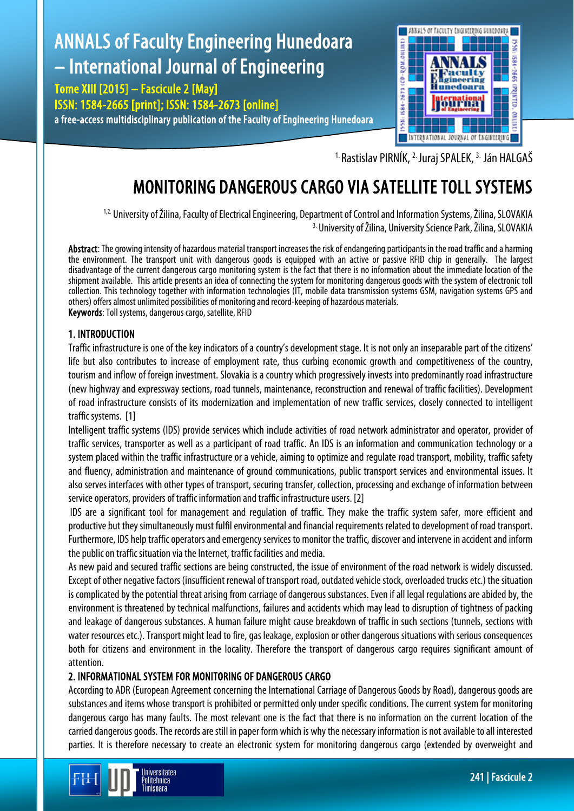# ANNALS of Faculty Engineering Hunedoara – International Journal of Engineering

Tome XIII [2015] – Fascicule 2 [May] ISSN: 1584-2665 [print]; ISSN: 1584-2673 [online] a free-access multidisciplinary publication of the Faculty of Engineering Hunedoara



<sup>1.</sup> Rastislav PIRNÍK, <sup>2.</sup> Juraj SPALEK, <sup>3.</sup> Ján HALGAŠ

# MONITORING DANGEROUS CARGO VIA SATELLITE TOLL SYSTEMS

<sup>1,2.</sup> University of Žilina, Faculty of Electrical Engineering, Department of Control and Information Systems, Žilina, SLOVAKIA <sup>3.</sup> University of Žilina, University Science Park, Žilina, SLOVAKIA

Abstract: The growing intensity of hazardous material transport increases the risk of endangering participants in the road traffic and a harming the environment. The transport unit with dangerous goods is equipped with an active or passive RFID chip in generally. The largest disadvantage of the current dangerous cargo monitoring system is the fact that there is no information about the immediate location of the shipment available. This article presents an idea of connecting the system for monitoring dangerous goods with the system of electronic toll collection. This technology together with information technologies (IT, mobile data transmission systems GSM, navigation systems GPS and others) offers almost unlimited possibilities of monitoring and record-keeping of hazardous materials. Keywords: Toll systems, dangerous cargo, satellite, RFID

# 1. INTRODUCTION

Traffic infrastructure is one of the key indicators of a country's development stage. It is not only an inseparable part of the citizens' life but also contributes to increase of employment rate, thus curbing economic growth and competitiveness of the country, tourism and inflow of foreign investment. Slovakia is a country which progressively invests into predominantly road infrastructure (new highway and expressway sections, road tunnels, maintenance, reconstruction and renewal of traffic facilities). Development of road infrastructure consists of its modernization and implementation of new traffic services, closely connected to intelligent traffic systems. [1]

Intelligent traffic systems (IDS) provide services which include activities of road network administrator and operator, provider of traffic services, transporter as well as a participant of road traffic. An IDS is an information and communication technology or a system placed within the traffic infrastructure or a vehicle, aiming to optimize and regulate road transport, mobility, traffic safety and fluency, administration and maintenance of ground communications, public transport services and environmental issues. It also serves interfaces with other types of transport, securing transfer, collection, processing and exchange of information between service operators, providers of traffic information and traffic infrastructure users. [2]

IDS are a significant tool for management and regulation of traffic. They make the traffic system safer, more efficient and productive but they simultaneously must fulfil environmental and financial requirements related to development of road transport. Furthermore, IDS help traffic operators and emergency services to monitor the traffic, discover and intervene in accident and inform the public on traffic situation via the Internet, traffic facilities and media.

As new paid and secured traffic sections are being constructed, the issue of environment of the road network is widely discussed. Except of other negative factors (insufficient renewal of transport road, outdated vehicle stock, overloaded trucks etc.) thesituation is complicated by the potential threat arising from carriage of dangerous substances. Even if all legal regulations are abided by, the environment is threatened by technical malfunctions, failures and accidents which may lead to disruption of tightness of packing and leakage of dangerous substances. A human failure might cause breakdown of traffic in such sections (tunnels, sections with water resources etc.). Transport might lead to fire, gas leakage, explosion or other dangerous situations with serious consequences both for citizens and environment in the locality. Therefore the transport of dangerous cargo requires significant amount of attention.

# 2. INFORMATIONAL SYSTEM FOR MONITORING OF DANGEROUS CARGO

According to ADR (European Agreement concerning the International Carriage of Dangerous Goods by Road), dangerous goods are substances and items whose transport is prohibited or permitted only under specific conditions. The current system for monitoring dangerous cargo has many faults. The most relevant one is the fact that there is no information on the current location of the carried dangerous goods. The records are still in paper form which is why the necessary information is not available to all interested parties. It is therefore necessary to create an electronic system for monitoring dangerous cargo (extended by overweight and

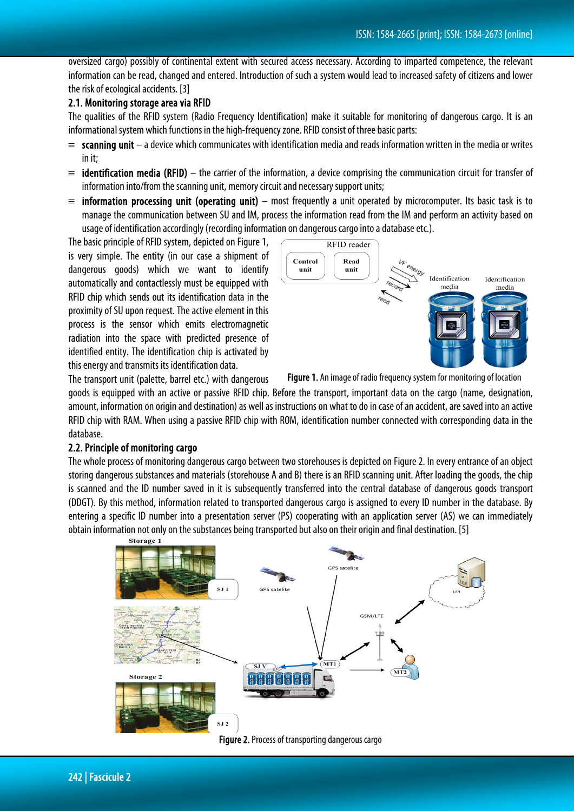oversized cargo) possibly of continental extent with secured access necessary. According to imparted competence, the relevant information can be read, changed and entered. Introduction of such a system would lead to increased safety of citizens and lower the risk of ecological accidents. [3]

### 2.1. Monitoring storage area via RFID

The qualities of the RFID system (Radio Frequency Identification) make it suitable for monitoring of dangerous cargo. It is an informational system which functions in the high-frequency zone. RFID consist of three basic parts:

- $\equiv$  scanning unit a device which communicates with identification media and reads information written in the media or writes in it;
- $\equiv$  identification media (RFID) the carrier of the information, a device comprising the communication circuit for transfer of information into/from the scanning unit, memory circuit and necessary support units;
- $\equiv$  information processing unit (operating unit) most frequently a unit operated by microcomputer. Its basic task is to manage the communication between SU and IM, process the information read from the IM and perform an activity based on usage of identification accordingly (recording information on dangerous cargo into a database etc.).

The basic principle of RFID system, depicted on Figure 1, is very simple. The entity (in our case a shipment of dangerous goods) which we want to identify automatically and contactlessly must be equipped with RFID chip which sends out its identification data in the proximity of SU upon request. The active element in this process is the sensor which emits electromagnetic radiation into the space with predicted presence of identified entity. The identification chip is activated by this energy and transmits its identification data.

The transport unit (palette, barrel etc.) with dangerous



Figure 1. An image of radio frequency system for monitoring of location

goods is equipped with an active or passive RFID chip. Before the transport, important data on the cargo (name, designation, amount, information on origin and destination) as well as instructions on what to do in case of an accident, are saved into an active RFID chip with RAM. When using a passive RFID chip with ROM, identification number connected with corresponding data in the database.

#### 2.2. Principle of monitoring cargo

The whole process of monitoring dangerous cargo between two storehouses is depicted on Figure2. In every entrance of an object storing dangerous substances and materials (storehouse A and B) there is an RFID scanning unit. After loading the goods, the chip is scanned and the ID number saved in it is subsequently transferred into the central database of dangerous goods transport (DDGT). By this method, information related to transported dangerous cargo is assigned to every ID number in the database. By entering a specific ID number into a presentation server (PS) cooperating with an application server (AS) we can immediately obtain information not only on the substances being transported but also on their origin and final destination. [5]

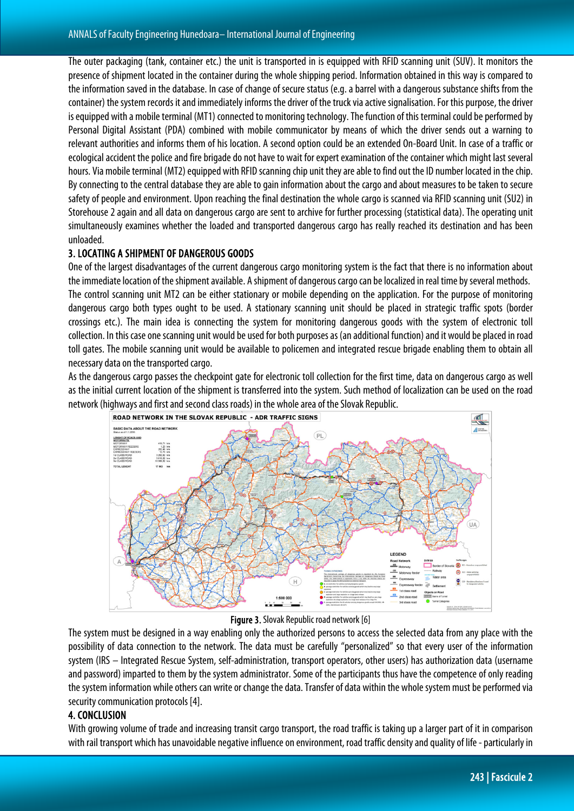The outer packaging (tank, container etc.) the unit is transported in is equipped with RFID scanning unit (SUV). It monitors the presence of shipment located in the container during the whole shipping period. Information obtained in this way is compared to the information saved in the database. In case of change of secure status (e.g. a barrel with a dangerous substance shifts from the container) the system records it and immediately informs the driver of the truck via active signalisation. For this purpose, the driver is equipped with a mobile terminal (MT1) connected to monitoring technology. The function of this terminal could be performed by Personal Digital Assistant (PDA) combined with mobile communicator by means of which the driver sends out a warning to relevant authorities and informs them of his location. A second option could be an extended On-Board Unit. In case of a traffic or ecological accident the police and fire brigade do not have to wait for expert examination of the container which might last several hours. Via mobile terminal (MT2) equipped with RFID scanning chip unit they are able to find out the ID number located in thechip. By connecting to the central database they are able to gain information about the cargo and about measures to be taken to secure safety of people and environment. Upon reaching the final destination the whole cargo is scanned via RFID scanning unit (SU2) in Storehouse 2 again and all data on dangerous cargo are sent to archive for further processing (statistical data). The operating unit simultaneously examines whether the loaded and transported dangerous cargo has really reached its destination and has been unloaded.

# 3. LOCATING A SHIPMENT OF DANGEROUS GOODS

One of the largest disadvantages of the current dangerous cargo monitoring system is the fact that there is no information about the immediate location of the shipment available. A shipment of dangerous cargo can be localized in real time by several methods. The control scanning unit MT2 can be either stationary or mobile depending on the application. For the purpose of monitoring dangerous cargo both types ought to be used. A stationary scanning unit should be placed in strategic traffic spots (border crossings etc.). The main idea is connecting the system for monitoring dangerous goods with the system of electronic toll collection. In this case one scanning unit would be used for both purposes as (an additional function) and it would be placedin road toll gates. The mobile scanning unit would be available to policemen and integrated rescue brigade enabling them to obtain all necessary data on the transported cargo.

As the dangerous cargo passes the checkpoint gate for electronic toll collection for the first time, data on dangerous cargo as well as the initial current location of the shipment is transferred into the system. Such method of localization can be used on the road network (highways and first and second class roads) in the whole area of the Slovak Republic.



Figure 3. Slovak Republic road network [6]

The system must be designed in a way enabling only the authorized persons to access the selected data from any place with the possibility of data connection to the network. The data must be carefully "personalized" so that every user of the information system (IRS – Integrated Rescue System, self-administration, transport operators, other users) has authorization data (username and password) imparted to them by the system administrator. Some of the participants thus have the competence of only reading the system information while others can write or change the data. Transfer of data within the whole system must be performed via security communication protocols [4].

## 4. CONCLUSION

With growing volume of trade and increasing transit cargo transport, the road traffic is taking up a larger part of it in comparison with rail transport which has unavoidable negative influence on environment, road traffic density and quality of life -particularly in